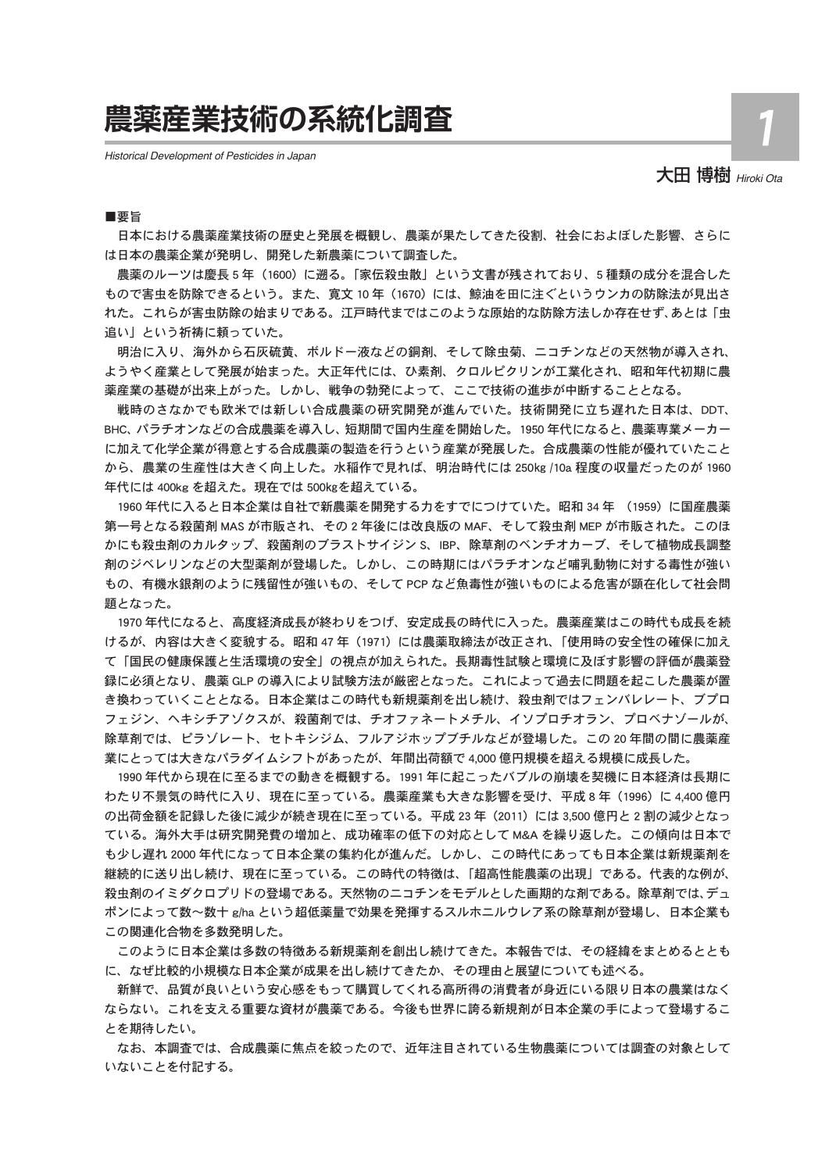# **農薬産業技術の系統化調査**

*Historical Development of Pesticides in Japan*

## 大田 博樹 *Hiroki Ota*

1

■要旨

日本における農薬産業技術の歴史と発展を概観し、農薬が果たしてきた役割、社会におよぼした影響、さらに は日本の農薬企業が発明し、開発した新農薬について調査した。

農薬のルーツは慶長 5 年(1600) に遡る。「家伝殺虫散」という文書が残されており、5 種類の成分を混合した もので害虫を防除できるという。また、寛文 10 年 (1670) には、鯨油を田に注ぐというウンカの防除法が見出さ れた。これらが害虫防除の始まりである。江戸時代まではこのような原始的な防除方法しか存在せず、あとは「虫 追い」という祈祷に頼っていた。

明治に入り、海外から石灰硫黄、ボルドー液などの銅剤、そして除虫菊、ニコチンなどの天然物が導入され、 ようやく産業として発展が始まった。大正年代には、ひ素剤、クロルピクリンが工業化され、昭和年代初期に農 薬産業の基礎が出来上がった。しかし、戦争の勃発によって、ここで技術の進歩が中断することとなる。

戦時のさなかでも欧米では新しい合成農薬の研究開発が進んでいた。技術開発に立ち遅れた日本は、DDT、 BHC、パラチオンなどの合成農薬を導入し、短期間で国内生産を開始した。1950 年代になると、農薬専業メーカー に加えて化学企業が得意とする合成農薬の製造を行うという産業が発展した。合成農薬の性能が優れていたこと から、農業の生産性は大きく向上した。水稲作で見れば、明治時代には 250㎏ /10a 程度の収量だったのが 1960 年代には 400kg を超えた。現在では 500㎏を超えている。

1960 年代に入ると日本企業は自社で新農薬を開発する力をすでにつけていた。昭和 34 年 (1959) に国産農薬 第一号となる殺菌剤 MAS が市販され、その 2 年後には改良版の MAF、そして殺虫剤 MEP が市販された。このほ かにも殺虫剤のカルタップ、殺菌剤のブラストサイジン S、IBP、除草剤のベンチオカーブ、そして植物成長調整 剤のジベレリンなどの大型薬剤が登場した。しかし、この時期にはパラチオンなど哺乳動物に対する毒性が強い もの、有機水銀剤のように残留性が強いもの、そして PCP など魚毒性が強いものによる危害が顕在化して社会問 題となった。

1970 年代になると、高度経済成長が終わりをつげ、安定成長の時代に入った。農薬産業はこの時代も成長を続 けるが、内容は大きく変貌する。昭和 47 年 (1971) には農薬取締法が改正され、「使用時の安全性の確保に加え て「国民の健康保護と生活環境の安全」の視点が加えられた。長期毒性試験と環境に及ぼす影響の評価が農薬登 録に必須となり、農薬 GLP の導入により試験方法が厳密となった。これによって過去に問題を起こした農薬が置 き換わっていくこととなる。日本企業はこの時代も新規薬剤を出し続け、殺虫剤ではフェンバレレート、ブプロ フェジン、ヘキシチアゾクスが、殺菌剤では、チオファネートメチル、イソプロチオラン、プロベナゾールが、 除草剤では、ピラゾレート、セトキシジム、フルアジホップブチルなどが登場した。この 20 年間の間に農薬産 業にとっては大きなパラダイムシフトがあったが、年間出荷額で 4,000 億円規模を超える規模に成長した。

1990 年代から現在に至るまでの動きを概観する。1991 年に起こったバブルの崩壊を契機に日本経済は長期に わたり不景気の時代に入り、現在に至っている。農薬産業も大きな影響を受け、平成 8 年 (1996) に 4,400 億円 の出荷金額を記録した後に減少が続き現在に至っている。平成 23 年 (2011) には 3,500 億円と 2 割の減少となっ ている。海外大手は研究開発費の増加と、成功確率の低下の対応として M&A を繰り返した。この傾向は日本で も少し遅れ 2000 年代になって日本企業の集約化が進んだ。しかし、この時代にあっても日本企業は新規薬剤を 継続的に送り出し続け、現在に至っている。この時代の特徴は、「超高性能農薬の出現」である。代表的な例が、 殺虫剤のイミダクロプリドの登場である。天然物のニコチンをモデルとした画期的な剤である。除草剤では、デュ ポンによって数~数十 g/ha という超低薬量で効果を発揮するスルホニルウレア系の除草剤が登場し、日本企業も この関連化合物を多数発明した。

このように日本企業は多数の特徴ある新規薬剤を創出し続けてきた。本報告では、その経緯をまとめるととも に、なぜ比較的小規模な日本企業が成果を出し続けてきたか、その理由と展望についても述べる。

新鮮で、品質が良いという安心感をもって購買してくれる高所得の消費者が身近にいる限り日本の農業はなく ならない。これを支える重要な資材が農薬である。今後も世界に誇る新規剤が日本企業の手によって登場するこ とを期待したい。

なお、本調査では、合成農薬に焦点を絞ったので、近年注目されている生物農薬については調査の対象として いないことを付記する。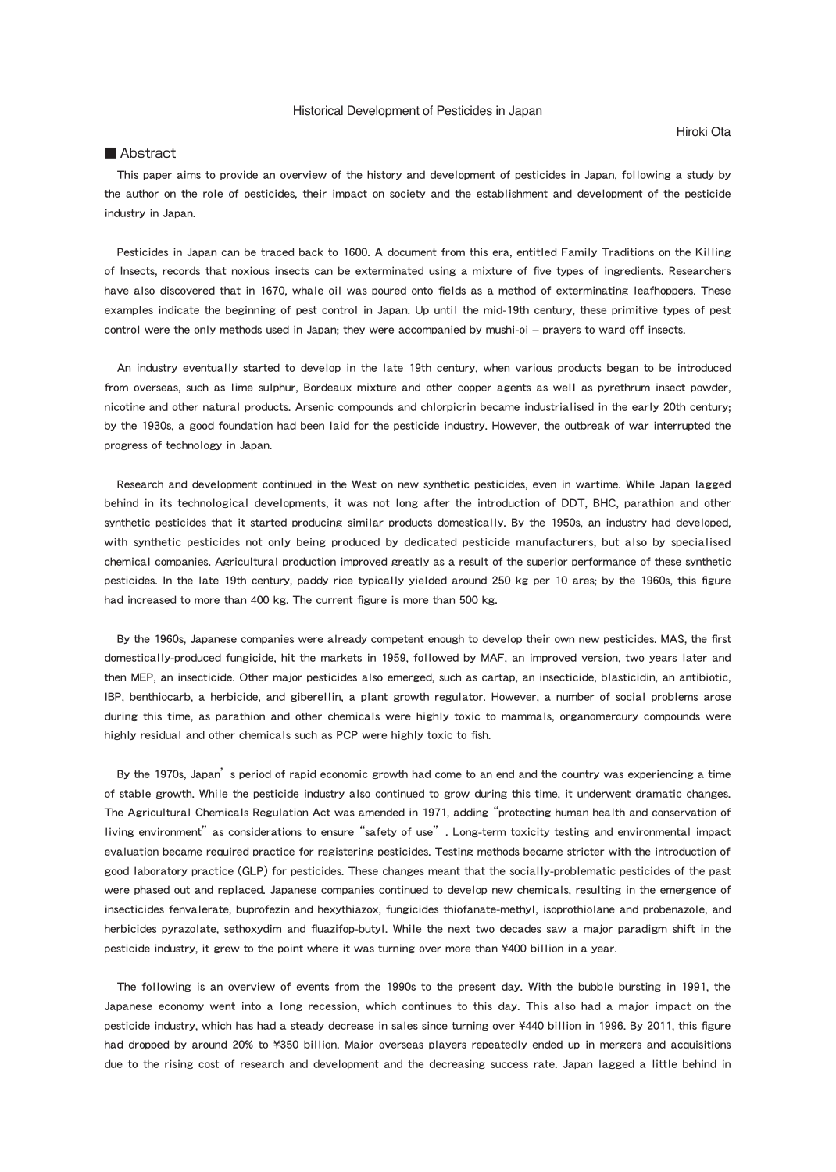### Historical Development of Pesticides in Japan

Hiroki Ota

### ■ Abstract

This paper aims to provide an overview of the history and development of pesticides in Japan, following a study by the author on the role of pesticides, their impact on society and the establishment and development of the pesticide industry in Japan.

Pesticides in Japan can be traced back to 1600. A document from this era, entitled Family Traditions on the Killing of Insects, records that noxious insects can be exterminated using a mixture of five types of ingredients. Researchers have also discovered that in 1670, whale oil was poured onto fields as a method of exterminating leafhoppers. These examples indicate the beginning of pest control in Japan. Up until the mid-19th century, these primitive types of pest control were the only methods used in Japan; they were accompanied by mushi-oi – prayers to ward off insects.

An industry eventually started to develop in the late 19th century, when various products began to be introduced from overseas, such as lime sulphur, Bordeaux mixture and other copper agents as well as pyrethrum insect powder, nicotine and other natural products. Arsenic compounds and chlorpicrin became industrialised in the early 20th century; by the 1930s, a good foundation had been laid for the pesticide industry. However, the outbreak of war interrupted the progress of technology in Japan.

Research and development continued in the West on new synthetic pesticides, even in wartime. While Japan lagged behind in its technological developments, it was not long after the introduction of DDT, BHC, parathion and other synthetic pesticides that it started producing similar products domestically. By the 1950s, an industry had developed, with synthetic pesticides not only being produced by dedicated pesticide manufacturers, but also by specialised chemical companies. Agricultural production improved greatly as a result of the superior performance of these synthetic pesticides. In the late 19th century, paddy rice typically yielded around 250 kg per 10 ares; by the 1960s, this figure had increased to more than 400 kg. The current figure is more than 500 kg.

By the 1960s, Japanese companies were already competent enough to develop their own new pesticides. MAS, the first domestically-produced fungicide, hit the markets in 1959, followed by MAF, an improved version, two years later and then MEP, an insecticide. Other major pesticides also emerged, such as cartap, an insecticide, blasticidin, an antibiotic, IBP, benthiocarb, a herbicide, and giberellin, a plant growth regulator. However, a number of social problems arose during this time, as parathion and other chemicals were highly toxic to mammals, organomercury compounds were highly residual and other chemicals such as PCP were highly toxic to fish.

By the 1970s, Japan's period of rapid economic growth had come to an end and the country was experiencing a time of stable growth. While the pesticide industry also continued to grow during this time, it underwent dramatic changes. The Agricultural Chemicals Regulation Act was amended in 1971, adding "protecting human health and conservation of living environment" as considerations to ensure "safety of use". Long-term toxicity testing and environmental impact evaluation became required practice for registering pesticides. Testing methods became stricter with the introduction of good laboratory practice (GLP) for pesticides. These changes meant that the socially-problematic pesticides of the past were phased out and replaced. Japanese companies continued to develop new chemicals, resulting in the emergence of insecticides fenvalerate, buprofezin and hexythiazox, fungicides thiofanate-methyl, isoprothiolane and probenazole, and herbicides pyrazolate, sethoxydim and fluazifop-butyl. While the next two decades saw a major paradigm shift in the pesticide industry, it grew to the point where it was turning over more than ¥400 billion in a year.

The following is an overview of events from the 1990s to the present day. With the bubble bursting in 1991, the Japanese economy went into a long recession, which continues to this day. This also had a major impact on the pesticide industry, which has had a steady decrease in sales since turning over ¥440 billion in 1996. By 2011, this figure had dropped by around 20% to ¥350 billion. Major overseas players repeatedly ended up in mergers and acquisitions due to the rising cost of research and development and the decreasing success rate. Japan lagged a little behind in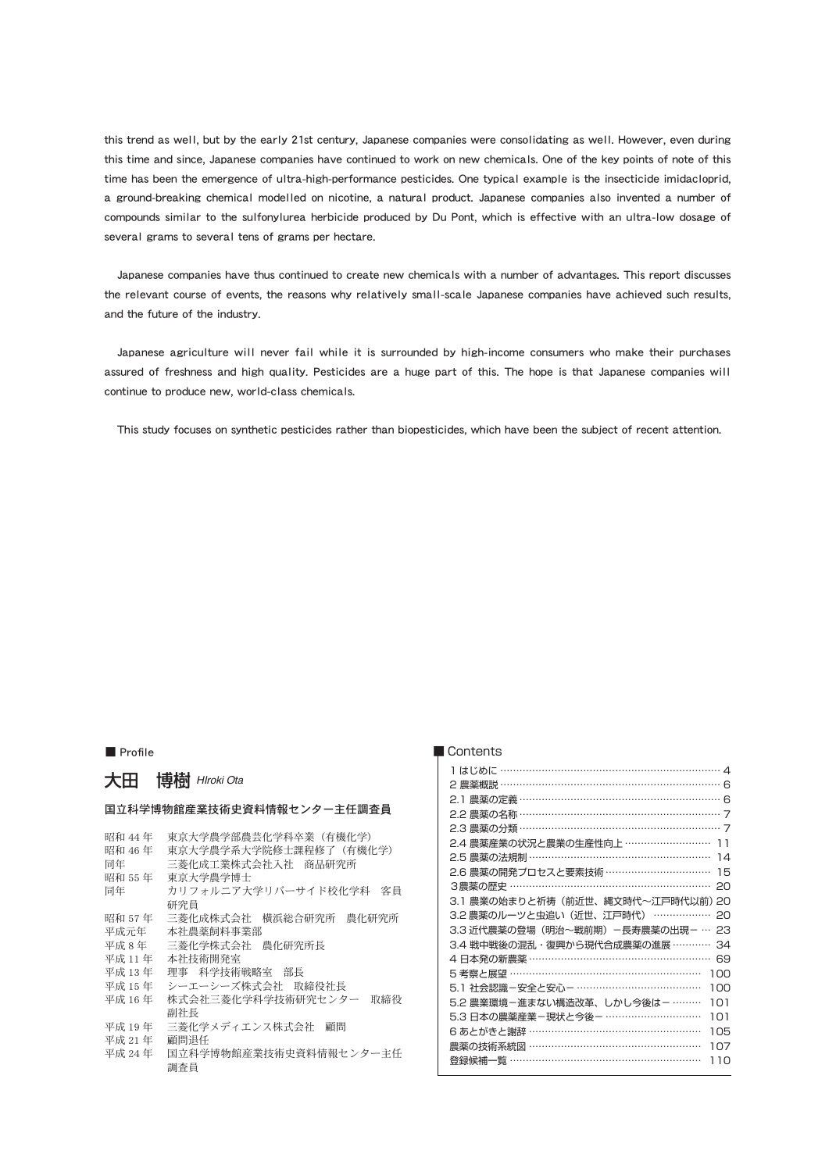this trend as well, but by the early 21st century, Japanese companies were consolidating as well. However, even during this time and since, Japanese companies have continued to work on new chemicals. One of the key points of note of this time has been the emergence of ultra-high-performance pesticides. One typical example is the insecticide imidacloprid, a ground-breaking chemical modelled on nicotine, a natural product. Japanese companies also invented a number of compounds similar to the sulfonylurea herbicide produced by Du Pont, which is effective with an ultra-low dosage of several grams to several tens of grams per hectare.

Japanese companies have thus continued to create new chemicals with a number of advantages. This report discusses the relevant course of events, the reasons why relatively small-scale Japanese companies have achieved such results, and the future of the industry.

Japanese agriculture will never fail while it is surrounded by high-income consumers who make their purchases assured of freshness and high quality. Pesticides are a huge part of this. The hope is that Japanese companies will continue to produce new, world-class chemicals.

This study focuses on synthetic pesticides rather than biopesticides, which have been the subject of recent attention.

### 大田 博樹 *HIroki Ota*

### 国立科学博物館産業技術史資料情報センター主任調査員

| 昭和 44 年 | 東京大学農学部農芸化学科卒業(有機化学)          |
|---------|-------------------------------|
| 昭和 46年  | 東京大学農学系大学院修士課程修了(有機化学)        |
| 同年      | 三菱化成工業株式会社入社 商品研究所            |
| 昭和 55 年 | 東京大学農学博士                      |
| 同年      | カリフォルニア大学リバーサイド校化学科<br>客員     |
|         | 研究員                           |
| 昭和 57 年 | 三菱化成株式会社<br>横浜総合研究所<br>農化研究所  |
| 平成元年    | 本社農薬飼料事業部                     |
| 平成8年    | 三菱化学株式会社<br>農化研究所長            |
| 平成 11 年 | 本社技術開発室                       |
| 平成 13年  | 理事 科学技術戦略室 部長                 |
| 平成 15年  | シーエーシーズ株式会社 取締役社長             |
| 平成 16年  | 株式会社三菱化学科学技術研究センター<br>取締役     |
|         | 副社長                           |
| 平成 19年  | 三菱化学メディエンス株式会社<br>顧問          |
| 平成 21年  | 顧問退任                          |
| 平成 24年  | 国立科学博物館産業技術史資料情報センター主任<br>調査員 |

### ■ Profile ■ Profile ■ Profile ■ Profile ■ Profile ■ Profile ■ Profile ■ Profile ■ Profile ■ Profile ■ Profile ■ Profile ■ Profile ■ Profile ■ Profile ■ Profile ■ Profile ■ Profile ■ Profile ■ Profile ■ Profile ■ Profile ■

| 2 農薬概説 ………………………………………………………… 6   |     |
|-----------------------------------|-----|
| 2.1 農薬の定義 ……………………………………………………… 6 |     |
| 2.2 農薬の名称 …………………………………………………… 7  |     |
| 2.3 農薬の分類 …………………………………………………… 7  |     |
| 2.4 農薬産業の状況と農業の生産性向上 ……………………… 11 |     |
| 2.5 農薬の法規制 ………………………………………………     | 14  |
| 2.6 農薬の開発プロセスと要素技術 ……………………………    | 15  |
| 3農薬の歴史 ……………………………………………………       | 20  |
| 3.1 農業の始まりと祈祷(前近世、縄文時代~江戸時代以前)20  |     |
| 3.2 農薬のルーツと虫追い(近世、江戸時代) ………………    | PС  |
| 3.3 近代農薬の登場(明治~戦前期)-長寿農薬の出現- …    | 23  |
| 3.4 戦中戦後の混乱・復興から現代合成農薬の進展 …………    | 34  |
| 4 日本発の新農薬 ………………………………………………      | 69  |
| 5 考察と展望 ……………………………………………………      | 100 |
| 5.1 社会認識-安全と安心- …………………………………     | 100 |
| 5.2 農業環境-進まない構造改革、しかし今後は-………      | 101 |
| 5.3 日本の農薬産業-現状と今後- …………………………     | 101 |
| 6 あとがきと謝辞 ……………………………………………       | 105 |
| 農薬の技術系統図 ………………………………………………       | 107 |
| 登録候補一覧 …………………………………………………        | 110 |
|                                   |     |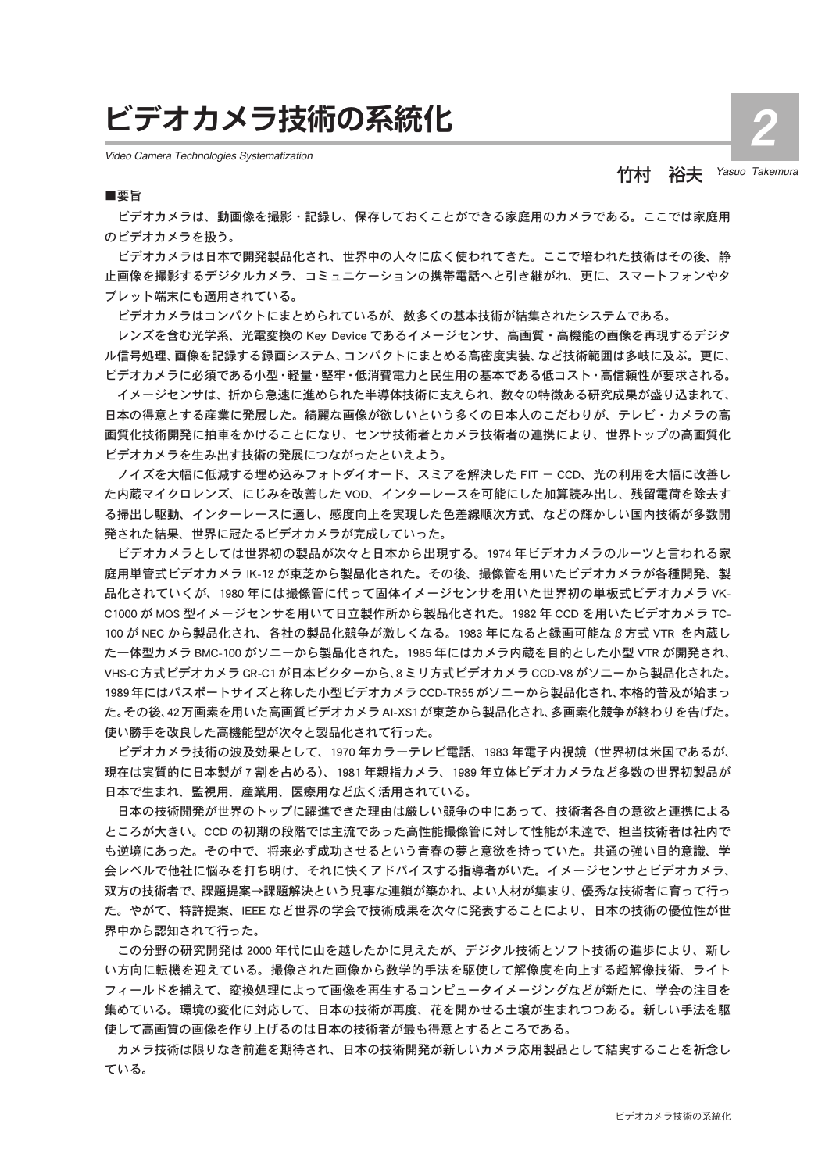# **ビデオカメラ技術の系統化**

*Video Camera Technologies Systematization*

# 竹村 裕夫 *Yasuo Takemura*

2

#### ■要旨

ビデオカメラは、動画像を撮影・記録し、保存しておくことができる家庭用のカメラである。ここでは家庭用 のビデオカメラを扱う。

ビデオカメラは日本で開発製品化され、世界中の人々に広く使われてきた。ここで培われた技術はその後、静 止画像を撮影するデジタルカメラ、コミュニケーションの携帯電話へと引き継がれ、更に、スマートフォンやタ ブレット端末にも適用されている。

ビデオカメラはコンパクトにまとめられているが、数多くの基本技術が結集されたシステムである。

レンズを含む光学系、光電変換の Key Device であるイメージセンサ、高画質・高機能の画像を再現するデジタ ル信号処理、画像を記録する録画システム、コンパクトにまとめる高密度実装、など技術範囲は多岐に及ぶ。更に、 ビデオカメラに必須である小型・軽量・堅牢・低消費電力と民生用の基本である低コスト・高信頼性が要求される。

イメージセンサは、折から急速に進められた半導体技術に支えられ、数々の特徴ある研究成果が盛り込まれて、 日本の得意とする産業に発展した。綺麗な画像が欲しいという多くの日本人のこだわりが、テレビ・カメラの高 画質化技術開発に拍車をかけることになり、センサ技術者とカメラ技術者の連携により、世界トップの高画質化 ビデオカメラを生み出す技術の発展につながったといえよう。

ノイズを大幅に低減する埋め込みフォトダイオード、スミアを解決した FIT - CCD、光の利用を大幅に改善し た内蔵マイクロレンズ、にじみを改善した VOD、インターレースを可能にした加算読み出し、残留電荷を除去す る掃出し駆動、インターレースに適し、感度向上を実現した色差線順次方式、などの輝かしい国内技術が多数開 発された結果、世界に冠たるビデオカメラが完成していった。

ビデオカメラとしては世界初の製品が次々と日本から出現する。1974 年ビデオカメラのルーツと言われる家 庭用単管式ビデオカメラ IK-12 が東芝から製品化された。その後、撮像管を用いたビデオカメラが各種開発、製 品化されていくが、1980 年には撮像管に代って固体イメージセンサを用いた世界初の単板式ビデオカメラ VK-C1000 が MOS 型イメージセンサを用いて日立製作所から製品化された。1982 年 CCD を用いたビデオカメラ TC-100 が NEC から製品化され、各社の製品化競争が激しくなる。1983 年になると録画可能なβ方式 VTR を内蔵し た一体型カメラ BMC-100 がソニーから製品化された。1985 年にはカメラ内蔵を目的とした小型 VTR が開発され、 VHS-C 方式ビデオカメラ GR-C1 が日本ビクターから、8 ミリ方式ビデオカメラ CCD-V8 がソニーから製品化された。 1989年にはパスポートサイズと称した小型ビデオカメラCCD-TR55がソニーから製品化され、本格的普及が始まっ た。その後、42万画素を用いた高画質ビデオカメラAI-XS1が東芝から製品化され、多画素化競争が終わりを告げた。 使い勝手を改良した高機能型が次々と製品化されて行った。

ビデオカメラ技術の波及効果として、1970 年カラーテレビ電話、1983 年電子内視鏡(世界初は米国であるが、 現在は実質的に日本製が 7 割を占める)、1981 年親指カメラ、1989 年立体ビデオカメラなど多数の世界初製品が 日本で生まれ、監視用、産業用、医療用など広く活用されている。

日本の技術開発が世界のトップに躍進できた理由は厳しい競争の中にあって、技術者各自の意欲と連携による ところが大きい。CCD の初期の段階では主流であった高性能撮像管に対して性能が未達で、担当技術者は社内で も逆境にあった。その中で、将来必ず成功させるという青春の夢と意欲を持っていた。共通の強い目的意識、学 会レベルで他社に悩みを打ち明け、それに快くアドバイスする指導者がいた。イメージセンサとビデオカメラ、 双方の技術者で、課題提案→課題解決という見事な連鎖が築かれ、よい人材が集まり、優秀な技術者に育って行っ た。やがて、特許提案、IEEE など世界の学会で技術成果を次々に発表することにより、日本の技術の優位性が世 界中から認知されて行った。

この分野の研究開発は 2000 年代に山を越したかに見えたが、デジタル技術とソフト技術の進歩により、新し い方向に転機を迎えている。撮像された画像から数学的手法を駆使して解像度を向上する超解像技術、ライト フィールドを捕えて、変換処理によって画像を再生するコンピュータイメージングなどが新たに、学会の注目を 集めている。環境の変化に対応して、日本の技術が再度、花を開かせる土壌が生まれつつある。新しい手法を駆 使して高画質の画像を作り上げるのは日本の技術者が最も得意とするところである。

カメラ技術は限りなき前進を期待され、日本の技術開発が新しいカメラ応用製品として結実することを祈念し ている。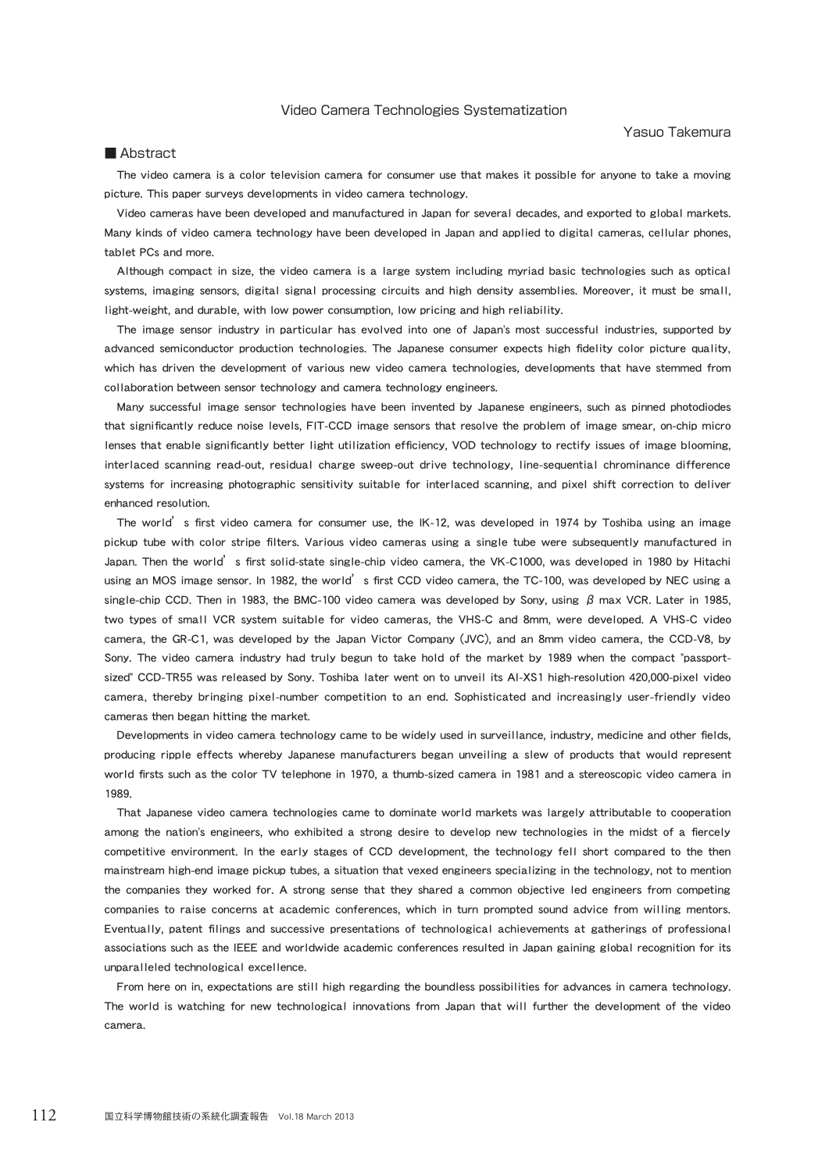### Video Camera Technologies Systematization

### Yasuo Takemura

### ■ Abstract

The video camera is a color television camera for consumer use that makes it possible for anyone to take a moving picture. This paper surveys developments in video camera technology.

Video cameras have been developed and manufactured in Japan for several decades, and exported to global markets. Many kinds of video camera technology have been developed in Japan and applied to digital cameras, cellular phones, tablet PCs and more.

Although compact in size, the video camera is a large system including myriad basic technologies such as optical systems, imaging sensors, digital signal processing circuits and high density assemblies. Moreover, it must be small, light-weight, and durable, with low power consumption, low pricing and high reliability.

The image sensor industry in particular has evolved into one of Japan's most successful industries, supported by advanced semiconductor production technologies. The Japanese consumer expects high fidelity color picture quality, which has driven the development of various new video camera technologies, developments that have stemmed from collaboration between sensor technology and camera technology engineers.

Many successful image sensor technologies have been invented by Japanese engineers, such as pinned photodiodes that significantly reduce noise levels, FIT-CCD image sensors that resolve the problem of image smear, on-chip micro lenses that enable significantly better light utilization efficiency, VOD technology to rectify issues of image blooming, interlaced scanning read-out, residual charge sweep-out drive technology, line-sequential chrominance difference systems for increasing photographic sensitivity suitable for interlaced scanning, and pixel shift correction to deliver enhanced resolution.

The world's first video camera for consumer use, the IK-12, was developed in 1974 by Toshiba using an image pickup tube with color stripe filters. Various video cameras using a single tube were subsequently manufactured in Japan. Then the world<sup>'</sup>s first solid-state single-chip video camera, the VK-C1000, was developed in 1980 by Hitachi using an MOS image sensor. In 1982, the world's first CCD video camera, the TC-100, was developed by NEC using a single-chip CCD. Then in 1983, the BMC-100 video camera was developed by Sony, using  $\beta$  max VCR. Later in 1985, two types of small VCR system suitable for video cameras, the VHS-C and 8mm, were developed. A VHS-C video camera, the GR-C1, was developed by the Japan Victor Company (JVC), and an 8mm video camera, the CCD-V8, by Sony. The video camera industry had truly begun to take hold of the market by 1989 when the compact "passportsized" CCD-TR55 was released by Sony. Toshiba later went on to unveil its AI-XS1 high-resolution 420,000-pixel video camera, thereby bringing pixel-number competition to an end. Sophisticated and increasingly user-friendly video cameras then began hitting the market.

Developments in video camera technology came to be widely used in surveillance, industry, medicine and other fields producing ripple effects whereby Japanese manufacturers began unveiling a slew of products that would represent world firsts such as the color TV telephone in 1970, a thumb-sized camera in 1981 and a stereoscopic video camera in 1989.

That Japanese video camera technologies came to dominate world markets was largely attributable to cooperation among the nation's engineers, who exhibited a strong desire to develop new technologies in the midst of a fiercely competitive environment. In the early stages of CCD development, the technology fell short compared to the then mainstream high-end image pickup tubes, a situation that vexed engineers specializing in the technology, not to mention the companies they worked for. A strong sense that they shared a common objective led engineers from competing companies to raise concerns at academic conferences, which in turn prompted sound advice from willing mentors. Eventually, patent filings and successive presentations of technological achievements at gatherings of professional associations such as the IEEE and worldwide academic conferences resulted in Japan gaining global recognition for its unparalleled technological excellence.

From here on in, expectations are still high regarding the boundless possibilities for advances in camera technology. The world is watching for new technological innovations from Japan that will further the development of the video camera.